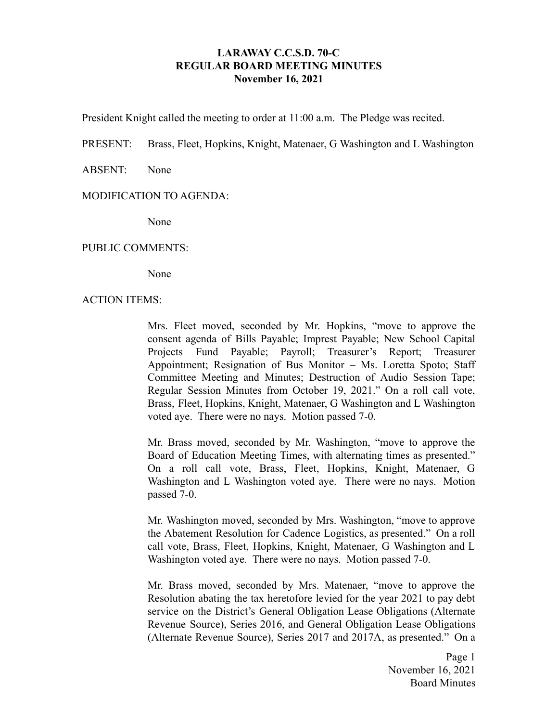# **LARAWAY C.C.S.D. 70-C REGULAR BOARD MEETING MINUTES November 16, 2021**

President Knight called the meeting to order at 11:00 a.m. The Pledge was recited.

PRESENT: Brass, Fleet, Hopkins, Knight, Matenaer, G Washington and L Washington

ABSENT: None

### MODIFICATION TO AGENDA:

None

### PUBLIC COMMENTS:

None

#### ACTION ITEMS:

Mrs. Fleet moved, seconded by Mr. Hopkins, "move to approve the consent agenda of Bills Payable; Imprest Payable; New School Capital Projects Fund Payable; Payroll; Treasurer's Report; Treasurer Appointment; Resignation of Bus Monitor – Ms. Loretta Spoto; Staff Committee Meeting and Minutes; Destruction of Audio Session Tape; Regular Session Minutes from October 19, 2021." On a roll call vote, Brass, Fleet, Hopkins, Knight, Matenaer, G Washington and L Washington voted aye. There were no nays. Motion passed 7-0.

Mr. Brass moved, seconded by Mr. Washington, "move to approve the Board of Education Meeting Times, with alternating times as presented." On a roll call vote, Brass, Fleet, Hopkins, Knight, Matenaer, G Washington and L Washington voted aye. There were no nays. Motion passed 7-0.

Mr. Washington moved, seconded by Mrs. Washington, "move to approve the Abatement Resolution for Cadence Logistics, as presented." On a roll call vote, Brass, Fleet, Hopkins, Knight, Matenaer, G Washington and L Washington voted aye. There were no nays. Motion passed 7-0.

Mr. Brass moved, seconded by Mrs. Matenaer, "move to approve the Resolution abating the tax heretofore levied for the year 2021 to pay debt service on the District's General Obligation Lease Obligations (Alternate Revenue Source), Series 2016, and General Obligation Lease Obligations (Alternate Revenue Source), Series 2017 and 2017A, as presented." On a

> Page 1 November 16, 2021 Board Minutes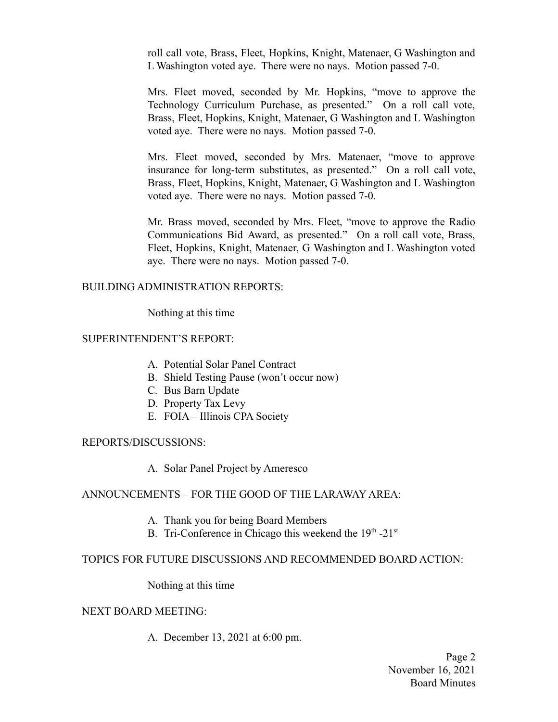roll call vote, Brass, Fleet, Hopkins, Knight, Matenaer, G Washington and L Washington voted aye. There were no nays. Motion passed 7-0.

Mrs. Fleet moved, seconded by Mr. Hopkins, "move to approve the Technology Curriculum Purchase, as presented." On a roll call vote, Brass, Fleet, Hopkins, Knight, Matenaer, G Washington and L Washington voted aye. There were no nays. Motion passed 7-0.

Mrs. Fleet moved, seconded by Mrs. Matenaer, "move to approve insurance for long-term substitutes, as presented." On a roll call vote, Brass, Fleet, Hopkins, Knight, Matenaer, G Washington and L Washington voted aye. There were no nays. Motion passed 7-0.

Mr. Brass moved, seconded by Mrs. Fleet, "move to approve the Radio Communications Bid Award, as presented." On a roll call vote, Brass, Fleet, Hopkins, Knight, Matenaer, G Washington and L Washington voted aye. There were no nays. Motion passed 7-0.

### BUILDING ADMINISTRATION REPORTS:

Nothing at this time

# SUPERINTENDENT'S REPORT:

- A. Potential Solar Panel Contract
- B. Shield Testing Pause (won't occur now)
- C. Bus Barn Update
- D. Property Tax Levy
- E. FOIA Illinois CPA Society

### REPORTS/DISCUSSIONS:

A. Solar Panel Project by Ameresco

# ANNOUNCEMENTS – FOR THE GOOD OF THE LARAWAY AREA:

- A. Thank you for being Board Members
- B. Tri-Conference in Chicago this weekend the  $19<sup>th</sup> 21<sup>st</sup>$

# TOPICS FOR FUTURE DISCUSSIONS AND RECOMMENDED BOARD ACTION:

Nothing at this time

### NEXT BOARD MEETING:

A. December 13, 2021 at 6:00 pm.